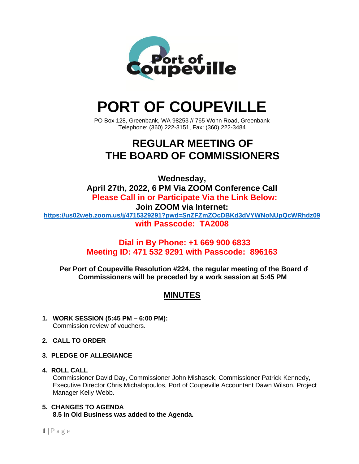

# **PORT OF COUPEVILLE**

PO Box 128, Greenbank, WA 98253 // 765 Wonn Road, Greenbank Telephone: (360) 222-3151, Fax: (360) 222-3484

## **REGULAR MEETING OF THE BOARD OF COMMISSIONERS**

**Wednesday, April 27th, 2022, 6 PM Via ZOOM Conference Call Please Call in or Participate Via the Link Below: Join ZOOM via Internet: <https://us02web.zoom.us/j/4715329291?pwd=SnZFZmZOcDBKd3dVYWNoNUpQcWRhdz09> with Passcode: TA2008**

### **Dial in By Phone: +1 669 900 6833 Meeting ID: 471 532 9291 with Passcode: 896163**

**Per Port of Coupeville Resolution #224, the regular meeting of the Board of Commissioners will be preceded by a work session at 5:45 PM**

### **MINUTES**

- **1. WORK SESSION (5:45 PM – 6:00 PM):** Commission review of vouchers.
- **2. CALL TO ORDER**
- **3. PLEDGE OF ALLEGIANCE**

#### **4. ROLL CALL**

Commissioner David Day, Commissioner John Mishasek, Commissioner Patrick Kennedy, Executive Director Chris Michalopoulos, Port of Coupeville Accountant Dawn Wilson, Project Manager Kelly Webb.

#### **5. CHANGES TO AGENDA**

**8.5 in Old Business was added to the Agenda.**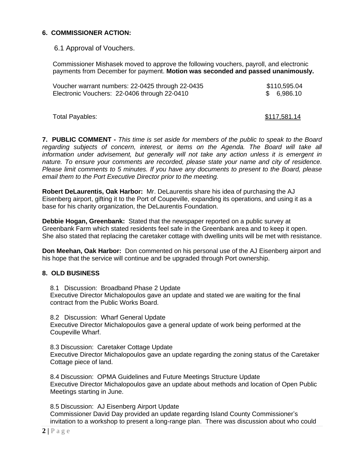#### **6. COMMISSIONER ACTION:**

6.1 Approval of Vouchers.

Commissioner Mishasek moved to approve the following vouchers, payroll, and electronic payments from December for payment. **Motion was seconded and passed unanimously.**

| Voucher warrant numbers: 22-0425 through 22-0435 | \$110,595.04 |
|--------------------------------------------------|--------------|
| Electronic Vouchers: 22-0406 through 22-0410     | \$ 6,986.10  |

Total Payables:  $$117,581.14$ 

**7. PUBLIC COMMENT -** *This time is set aside for members of the public to speak to the Board regarding subjects of concern, interest, or items on the Agenda. The Board will take all information under advisement, but generally will not take any action unless it is emergent in nature. To ensure your comments are recorded, please state your name and city of residence. Please limit comments to 5 minutes. If you have any documents to present to the Board, please email them to the Port Executive Director prior to the meeting.*

**Robert DeLaurentis, Oak Harbor:** Mr. DeLaurentis share his idea of purchasing the AJ Eisenberg airport, gifting it to the Port of Coupeville, expanding its operations, and using it as a base for his charity organization, the DeLaurentis Foundation.

**Debbie Hogan, Greenbank:** Stated that the newspaper reported on a public survey at Greenbank Farm which stated residents feel safe in the Greenbank area and to keep it open. She also stated that replacing the caretaker cottage with dwelling units will be met with resistance.

**Don Meehan, Oak Harbor:** Don commented on his personal use of the AJ Eisenberg airport and his hope that the service will continue and be upgraded through Port ownership.

#### **8. OLD BUSINESS**

8.1 Discussion: Broadband Phase 2 Update Executive Director Michalopoulos gave an update and stated we are waiting for the final contract from the Public Works Board.

8.2 Discussion: Wharf General Update Executive Director Michalopoulos gave a general update of work being performed at the Coupeville Wharf.

8.3 Discussion: Caretaker Cottage Update Executive Director Michalopoulos gave an update regarding the zoning status of the Caretaker Cottage piece of land.

8.4 Discussion: OPMA Guidelines and Future Meetings Structure Update Executive Director Michalopoulos gave an update about methods and location of Open Public Meetings starting in June.

8.5 Discussion: AJ Eisenberg Airport Update Commissioner David Day provided an update regarding Island County Commissioner's invitation to a workshop to present a long-range plan. There was discussion about who could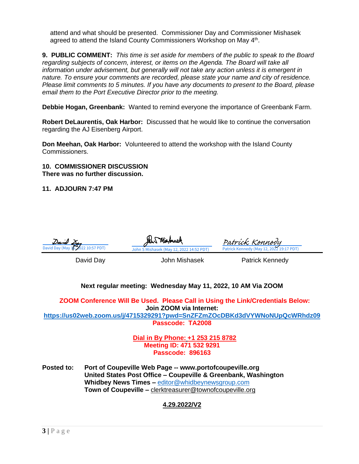attend and what should be presented. Commissioner Day and Commissioner Mishasek agreed to attend the Island County Commissioners Workshop on May 4<sup>th</sup>.

**9. PUBLIC COMMENT:** *This time is set aside for members of the public to speak to the Board regarding subjects of concern, interest, or items on the Agenda. The Board will take all information under advisement, but generally will not take any action unless it is emergent in nature. To ensure your comments are recorded, please state your name and city of residence. Please limit comments to 5 minutes. If you have any documents to present to the Board, please email them to the Port Executive Director prior to the meeting.*

**Debbie Hogan, Greenbank:** Wanted to remind everyone the importance of Greenbank Farm.

**Robert DeLaurentis, Oak Harbor:** Discussed that he would like to continue the conversation regarding the AJ Eisenberg Airport.

**Don Meehan, Oak Harbor:** Volunteered to attend the workshop with the Island County Commissioners.

**10. COMMISSIONER DISCUSSION There was no further discussion.**

**11. ADJOURN 7:47 PM**

| David Day (May 16, 2022 10:57 PDT) | WAPOSA<br>John S Mishasek (May 12, 2022 14:52 PDT)                                                        | <u>Patrick Kennedy</u><br>Patrick Kennedy (May 12, 2022 19:17 PDT)        |
|------------------------------------|-----------------------------------------------------------------------------------------------------------|---------------------------------------------------------------------------|
| David Day                          | John Mishasek                                                                                             | Patrick Kennedy                                                           |
|                                    | Next regular meeting: Wednesday May 11, 2022, 10 AM Via ZOOM                                              |                                                                           |
|                                    | ZOOM Conference Will Be Used. Please Call in Using the Link/Credentials Below:<br>Join ZOOM via Internet: |                                                                           |
|                                    |                                                                                                           | https://us02web.zoom.us/j/4715329291?pwd=SnZFZmZOcDBKd3dVYWNoNUpQcWRhdz09 |
|                                    | Passcode: TA2008                                                                                          |                                                                           |

**Dial in By Phone: +1 253 215 8782 Meeting ID: 471 532 9291 Passcode: 896163**

**Posted to: Port of Coupeville Web Page -- www.portofcoupeville.org United States Post Office – Coupeville & Greenbank, Washington Whidbey News Times –** [editor@whidbeynewsgroup.com](mailto:editor@whidbeynewsgroup.com) **Town of Coupeville –** [clerktreasurer@townofcoupeville.org](mailto:clerktreasurer@townofcoupeville.org)

#### **4.29.2022/V2**